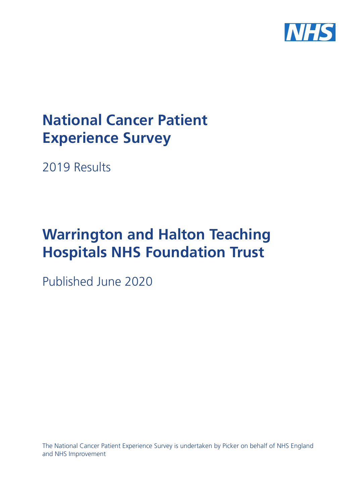

# **National Cancer Patient Experience Survey**

2019 Results

# **Warrington and Halton Teaching Hospitals NHS Foundation Trust**

Published June 2020

The National Cancer Patient Experience Survey is undertaken by Picker on behalf of NHS England and NHS Improvement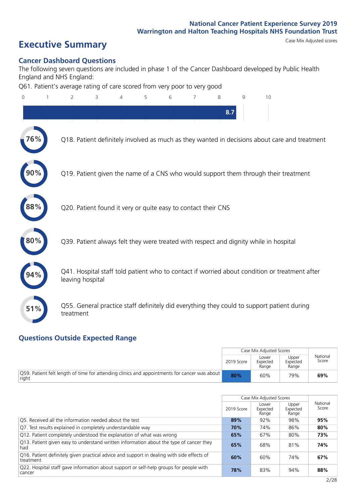# **Executive Summary** Case Mix Adjusted scores

## **Cancer Dashboard Questions**

The following seven questions are included in phase 1 of the Cancer Dashboard developed by Public Health England and NHS England:

Q61. Patient's average rating of care scored from very poor to very good

| $\overline{0}$ | $\overline{2}$                                                | 3 | $\overline{4}$ | 5 | 6 | 7 | 8   | $\mathsf{Q}$ | 10                                                                                            |
|----------------|---------------------------------------------------------------|---|----------------|---|---|---|-----|--------------|-----------------------------------------------------------------------------------------------|
|                |                                                               |   |                |   |   |   | 8.7 |              |                                                                                               |
| 76%            |                                                               |   |                |   |   |   |     |              | Q18. Patient definitely involved as much as they wanted in decisions about care and treatment |
|                |                                                               |   |                |   |   |   |     |              | Q19. Patient given the name of a CNS who would support them through their treatment           |
|                | Q20. Patient found it very or quite easy to contact their CNS |   |                |   |   |   |     |              |                                                                                               |
| $\bf 80\%$     |                                                               |   |                |   |   |   |     |              | Q39. Patient always felt they were treated with respect and dignity while in hospital         |
|                | leaving hospital                                              |   |                |   |   |   |     |              | Q41. Hospital staff told patient who to contact if worried about condition or treatment after |
| 51%            | treatment                                                     |   |                |   |   |   |     |              | Q55. General practice staff definitely did everything they could to support patient during    |
|                |                                                               |   |                |   |   |   |     |              |                                                                                               |

# **Questions Outside Expected Range**

|                                                                                                       |            | Case Mix Adjusted Scores   |                            |                   |
|-------------------------------------------------------------------------------------------------------|------------|----------------------------|----------------------------|-------------------|
|                                                                                                       | 2019 Score | Lower<br>Expected<br>Range | Upper<br>Expected<br>Range | National<br>Score |
| Q59. Patient felt length of time for attending clinics and appointments for cancer was about<br>right | 80%        | 60%                        | 79%                        | 69%               |

|                                                                                                         |            | Case Mix Adjusted Scores   |                            |                   |
|---------------------------------------------------------------------------------------------------------|------------|----------------------------|----------------------------|-------------------|
|                                                                                                         | 2019 Score | Lower<br>Expected<br>Range | Upper<br>Expected<br>Range | National<br>Score |
| O5. Received all the information needed about the test                                                  | 89%        | 92%                        | 98%                        | 95%               |
| Q7. Test results explained in completely understandable way                                             | 70%        | 74%                        | 86%                        | 80%               |
| Q12. Patient completely understood the explanation of what was wrong                                    | 65%        | 67%                        | 80%                        | 73%               |
| Q13. Patient given easy to understand written information about the type of cancer they<br>had          | 65%        | 68%                        | 81%                        | 74%               |
| Q16. Patient definitely given practical advice and support in dealing with side effects of<br>treatment | 60%        | 60%                        | 74%                        | 67%               |
| Q22. Hospital staff gave information about support or self-help groups for people with<br>cancer        | 78%        | 83%                        | 94%                        | 88%               |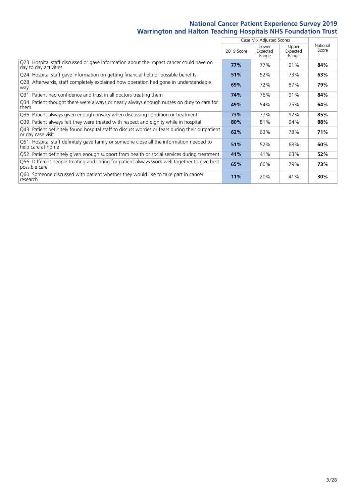|                                                                                                                       |            | Case Mix Adjusted Scores   |                            |                   |
|-----------------------------------------------------------------------------------------------------------------------|------------|----------------------------|----------------------------|-------------------|
|                                                                                                                       | 2019 Score | Lower<br>Expected<br>Range | Upper<br>Expected<br>Range | National<br>Score |
| Q23. Hospital staff discussed or gave information about the impact cancer could have on<br>day to day activities      | 77%        | 77%                        | 91%                        | 84%               |
| Q24. Hospital staff gave information on getting financial help or possible benefits                                   | 51%        | 52%                        | 73%                        | 63%               |
| Q28. Afterwards, staff completely explained how operation had gone in understandable<br>way                           | 69%        | 72%                        | 87%                        | 79%               |
| Q31. Patient had confidence and trust in all doctors treating them                                                    | 74%        | 76%                        | 91%                        | 84%               |
| Q34. Patient thought there were always or nearly always enough nurses on duty to care for<br>them                     | 49%        | 54%                        | 75%                        | 64%               |
| Q36. Patient always given enough privacy when discussing condition or treatment                                       | 73%        | 77%                        | 92%                        | 85%               |
| Q39. Patient always felt they were treated with respect and dignity while in hospital                                 | 80%        | 81%                        | 94%                        | 88%               |
| Q43. Patient definitely found hospital staff to discuss worries or fears during their outpatient<br>or day case visit | 62%        | 63%                        | 78%                        | 71%               |
| Q51. Hospital staff definitely gave family or someone close all the information needed to<br>help care at home        | 51%        | 52%                        | 68%                        | 60%               |
| Q52. Patient definitely given enough support from health or social services during treatment                          | 41%        | 41%                        | 63%                        | 52%               |
| Q56. Different people treating and caring for patient always work well together to give best<br>possible care         | 65%        | 66%                        | 79%                        | 73%               |
| Q60. Someone discussed with patient whether they would like to take part in cancer<br>research                        | 11%        | 20%                        | 41%                        | 30%               |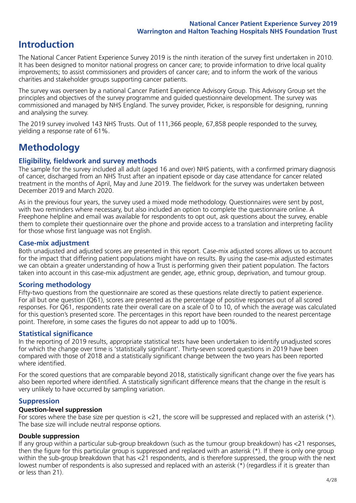# **Introduction**

The National Cancer Patient Experience Survey 2019 is the ninth iteration of the survey first undertaken in 2010. It has been designed to monitor national progress on cancer care; to provide information to drive local quality improvements; to assist commissioners and providers of cancer care; and to inform the work of the various charities and stakeholder groups supporting cancer patients.

The survey was overseen by a national Cancer Patient Experience Advisory Group. This Advisory Group set the principles and objectives of the survey programme and guided questionnaire development. The survey was commissioned and managed by NHS England. The survey provider, Picker, is responsible for designing, running and analysing the survey.

The 2019 survey involved 143 NHS Trusts. Out of 111,366 people, 67,858 people responded to the survey, yielding a response rate of 61%.

# **Methodology**

# **Eligibility, eldwork and survey methods**

The sample for the survey included all adult (aged 16 and over) NHS patients, with a confirmed primary diagnosis of cancer, discharged from an NHS Trust after an inpatient episode or day case attendance for cancer related treatment in the months of April, May and June 2019. The fieldwork for the survey was undertaken between December 2019 and March 2020.

As in the previous four years, the survey used a mixed mode methodology. Questionnaires were sent by post, with two reminders where necessary, but also included an option to complete the questionnaire online. A Freephone helpline and email was available for respondents to opt out, ask questions about the survey, enable them to complete their questionnaire over the phone and provide access to a translation and interpreting facility for those whose first language was not English.

# **Case-mix adjustment**

Both unadjusted and adjusted scores are presented in this report. Case-mix adjusted scores allows us to account for the impact that differing patient populations might have on results. By using the case-mix adjusted estimates we can obtain a greater understanding of how a Trust is performing given their patient population. The factors taken into account in this case-mix adjustment are gender, age, ethnic group, deprivation, and tumour group.

# **Scoring methodology**

Fifty-two questions from the questionnaire are scored as these questions relate directly to patient experience. For all but one question (Q61), scores are presented as the percentage of positive responses out of all scored responses. For Q61, respondents rate their overall care on a scale of 0 to 10, of which the average was calculated for this question's presented score. The percentages in this report have been rounded to the nearest percentage point. Therefore, in some cases the figures do not appear to add up to 100%.

## **Statistical significance**

In the reporting of 2019 results, appropriate statistical tests have been undertaken to identify unadjusted scores for which the change over time is 'statistically significant'. Thirty-seven scored questions in 2019 have been compared with those of 2018 and a statistically significant change between the two years has been reported where identified.

For the scored questions that are comparable beyond 2018, statistically significant change over the five years has also been reported where identified. A statistically significant difference means that the change in the result is very unlikely to have occurred by sampling variation.

## **Suppression**

### **Question-level suppression**

For scores where the base size per question is  $<$ 21, the score will be suppressed and replaced with an asterisk (\*). The base size will include neutral response options.

## **Double suppression**

If any group within a particular sub-group breakdown (such as the tumour group breakdown) has <21 responses, then the figure for this particular group is suppressed and replaced with an asterisk (\*). If there is only one group within the sub-group breakdown that has <21 respondents, and is therefore suppressed, the group with the next lowest number of respondents is also supressed and replaced with an asterisk (\*) (regardless if it is greater than or less than 21).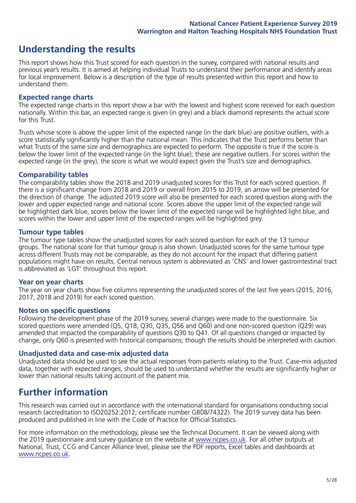# **Understanding the results**

This report shows how this Trust scored for each question in the survey, compared with national results and previous year's results. It is aimed at helping individual Trusts to understand their performance and identify areas for local improvement. Below is a description of the type of results presented within this report and how to understand them.

### **Expected range charts**

The expected range charts in this report show a bar with the lowest and highest score received for each question nationally. Within this bar, an expected range is given (in grey) and a black diamond represents the actual score for this Trust.

Trusts whose score is above the upper limit of the expected range (in the dark blue) are positive outliers, with a score statistically significantly higher than the national mean. This indicates that the Trust performs better than what Trusts of the same size and demographics are expected to perform. The opposite is true if the score is below the lower limit of the expected range (in the light blue); these are negative outliers. For scores within the expected range (in the grey), the score is what we would expect given the Trust's size and demographics.

#### **Comparability tables**

The comparability tables show the 2018 and 2019 unadjusted scores for this Trust for each scored question. If there is a significant change from 2018 and 2019 or overall from 2015 to 2019, an arrow will be presented for the direction of change. The adjusted 2019 score will also be presented for each scored question along with the lower and upper expected range and national score. Scores above the upper limit of the expected range will be highlighted dark blue, scores below the lower limit of the expected range will be highlighted light blue, and scores within the lower and upper limit of the expected ranges will be highlighted grey.

## **Tumour type tables**

The tumour type tables show the unadjusted scores for each scored question for each of the 13 tumour groups. The national score for that tumour group is also shown. Unadjusted scores for the same tumour type across different Trusts may not be comparable, as they do not account for the impact that differing patient populations might have on results. Central nervous system is abbreviated as 'CNS' and lower gastrointestinal tract is abbreviated as 'LGT' throughout this report.

#### **Year on year charts**

The year on year charts show five columns representing the unadjusted scores of the last five years (2015, 2016, 2017, 2018 and 2019) for each scored question.

#### **Notes on specific questions**

Following the development phase of the 2019 survey, several changes were made to the questionnaire. Six scored questions were amended (Q5, Q18, Q30, Q35, Q56 and Q60) and one non-scored question (Q29) was amended that impacted the comparability of questions Q30 to Q41. Of all questions changed or impacted by change, only Q60 is presented with historical comparisons; though the results should be interpreted with caution.

## **Unadjusted data and case-mix adjusted data**

Unadjusted data should be used to see the actual responses from patients relating to the Trust. Case-mix adjusted data, together with expected ranges, should be used to understand whether the results are significantly higher or lower than national results taking account of the patient mix.

# **Further information**

This research was carried out in accordance with the international standard for organisations conducting social research (accreditation to ISO20252:2012; certificate number GB08/74322). The 2019 survey data has been produced and published in line with the Code of Practice for Official Statistics.

For more information on the methodology, please see the Technical Document. It can be viewed along with the 2019 questionnaire and survey quidance on the website at [www.ncpes.co.uk](https://www.ncpes.co.uk/supporting-documents). For all other outputs at National, Trust, CCG and Cancer Alliance level, please see the PDF reports, Excel tables and dashboards at [www.ncpes.co.uk.](https://www.ncpes.co.uk/current-results)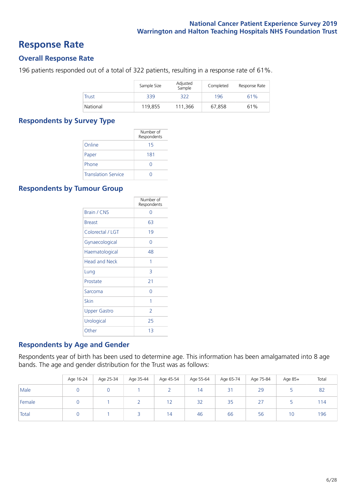# **Response Rate**

# **Overall Response Rate**

196 patients responded out of a total of 322 patients, resulting in a response rate of 61%.

|              | Sample Size | Adjusted<br>Sample | Completed | Response Rate |
|--------------|-------------|--------------------|-----------|---------------|
| <b>Trust</b> | 339         | 322                | 196       | 61%           |
| National     | 119.855     | 111,366            | 67,858    | 61%           |

# **Respondents by Survey Type**

|                            | Number of<br>Respondents |
|----------------------------|--------------------------|
| Online                     | 15                       |
| Paper                      | 181                      |
| Phone                      |                          |
| <b>Translation Service</b> |                          |

# **Respondents by Tumour Group**

|                      | Number of<br>Respondents |
|----------------------|--------------------------|
| Brain / CNS          | ∩                        |
| <b>Breast</b>        | 63                       |
| Colorectal / LGT     | 19                       |
| Gynaecological       | Ω                        |
| Haematological       | 48                       |
| <b>Head and Neck</b> | 1                        |
| Lung                 | 3                        |
| Prostate             | 21                       |
| Sarcoma              | ∩                        |
| Skin                 | 1                        |
| <b>Upper Gastro</b>  | $\overline{2}$           |
| Urological           | 25                       |
| Other                | 13                       |

# **Respondents by Age and Gender**

Respondents year of birth has been used to determine age. This information has been amalgamated into 8 age bands. The age and gender distribution for the Trust was as follows:

|        | Age 16-24 | Age 25-34 | Age 35-44 | Age 45-54  | Age 55-64 | Age 65-74 | Age 75-84     | Age 85+ | Total |
|--------|-----------|-----------|-----------|------------|-----------|-----------|---------------|---------|-------|
| Male   |           |           |           |            | 14        | 31        | 29            |         | 82    |
| Female |           |           |           | 1 ว<br>1 Z | 32        | 35        | $\lnot$<br>Ζ. |         | 114   |
| Total  |           |           |           | 14         | 46        | 66        | 56            | 10      | 196   |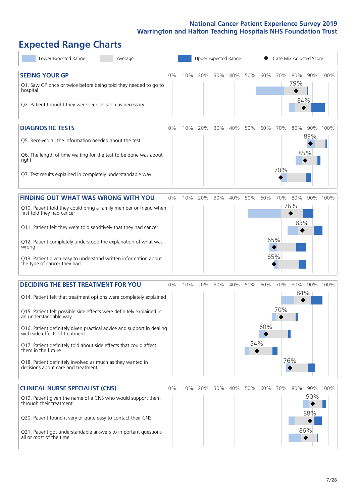# **Expected Range Charts**

| Lower Expected Range<br>Average                                                                                                                                                                                                                                                                                                                                                                                                                                                                                             |       |     | Upper Expected Range |     |         |            |            |                       |                   | Case Mix Adjusted Score |          |
|-----------------------------------------------------------------------------------------------------------------------------------------------------------------------------------------------------------------------------------------------------------------------------------------------------------------------------------------------------------------------------------------------------------------------------------------------------------------------------------------------------------------------------|-------|-----|----------------------|-----|---------|------------|------------|-----------------------|-------------------|-------------------------|----------|
| <b>SEEING YOUR GP</b><br>Q1. Saw GP once or twice before being told they needed to go to<br>hospital<br>Q2. Patient thought they were seen as soon as necessary                                                                                                                                                                                                                                                                                                                                                             | $0\%$ |     | 10% 20%              | 30% | 40% 50% |            | 60%        | 70%                   | 80%<br>79%<br>84% |                         | 90% 100% |
| <b>DIAGNOSTIC TESTS</b><br>Q5. Received all the information needed about the test<br>Q6. The length of time waiting for the test to be done was about<br>right<br>Q7. Test results explained in completely understandable way                                                                                                                                                                                                                                                                                               | $0\%$ | 10% | 20%                  | 30% | 40%     | 50%        | 60%        | 70%<br>70%            | 80%               | 90%<br>89%<br>85%       | 100%     |
| <b>FINDING OUT WHAT WAS WRONG WITH YOU</b><br>Q10. Patient told they could bring a family member or friend when<br>first told they had cancer<br>Q11. Patient felt they were told sensitively that they had cancer<br>Q12. Patient completely understood the explanation of what was<br>wrong<br>Q13. Patient given easy to understand written information about<br>the type of cancer they had                                                                                                                             | 0%    | 10% | 20%                  | 30% | 40%     | 50%        | 60%        | 70% 80%<br>65%<br>65% | 76%<br>83%        |                         | 90% 100% |
| <b>DECIDING THE BEST TREATMENT FOR YOU</b><br>Q14. Patient felt that treatment options were completely explained<br>Q15. Patient felt possible side effects were definitely explained in<br>an understandable way<br>Q16. Patient definitely given practical advice and support in dealing<br>with side effects of treatment<br>Q17. Patient definitely told about side effects that could affect<br>them in the future<br>Q18. Patient definitely involved as much as they wanted in<br>decisions about care and treatment | $0\%$ | 10% | 20%                  | 30% | 40%     | 50%<br>54% | 60%<br>60% | 70%<br>70%            | 80%<br>84%<br>76% |                         | 90% 100% |
| <b>CLINICAL NURSE SPECIALIST (CNS)</b><br>Q19. Patient given the name of a CNS who would support them<br>through their treatment<br>Q20. Patient found it very or quite easy to contact their CNS<br>Q21. Patient got understandable answers to important questions<br>all or most of the time                                                                                                                                                                                                                              | $0\%$ | 10% | 20%                  | 30% | 40%     | 50%        | 60%        | 70%                   | 80%               | 90%<br>88%<br>86%       | 90% 100% |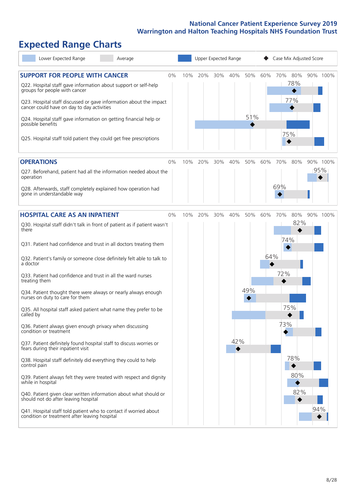# **Expected Range Charts**

| Lower Expected Range<br>Average                                                                                   |       |     |     |     | Upper Expected Range |     |     | Case Mix Adjusted Score |     |     |          |
|-------------------------------------------------------------------------------------------------------------------|-------|-----|-----|-----|----------------------|-----|-----|-------------------------|-----|-----|----------|
| <b>SUPPORT FOR PEOPLE WITH CANCER</b>                                                                             | 0%    | 10% | 20% | 30% | 40%                  | 50% | 60% | 70% 80%                 |     |     | 90% 100% |
| Q22. Hospital staff gave information about support or self-help<br>groups for people with cancer                  |       |     |     |     |                      |     |     |                         | 78% |     |          |
| Q23. Hospital staff discussed or gave information about the impact<br>cancer could have on day to day activities  |       |     |     |     |                      |     |     |                         | 77% |     |          |
| Q24. Hospital staff gave information on getting financial help or<br>possible benefits                            |       |     |     |     |                      | 51% |     |                         |     |     |          |
| Q25. Hospital staff told patient they could get free prescriptions                                                |       |     |     |     |                      |     |     | 75%                     |     |     |          |
| <b>OPERATIONS</b>                                                                                                 | 0%    | 10% | 20% | 30% | 40%                  | 50% | 60% | 70%                     | 80% |     | 90% 100% |
| Q27. Beforehand, patient had all the information needed about the<br>operation                                    |       |     |     |     |                      |     |     |                         |     | 95% |          |
| Q28. Afterwards, staff completely explained how operation had<br>gone in understandable way                       |       |     |     |     |                      |     |     | 69%                     |     |     |          |
| <b>HOSPITAL CARE AS AN INPATIENT</b>                                                                              | $0\%$ | 10% | 20% | 30% | 40%                  | 50% | 60% | 70%                     | 80% |     | 90% 100% |
| Q30. Hospital staff didn't talk in front of patient as if patient wasn't<br>there                                 |       |     |     |     |                      |     |     |                         | 82% |     |          |
| Q31. Patient had confidence and trust in all doctors treating them                                                |       |     |     |     |                      |     |     | 74%                     |     |     |          |
| Q32. Patient's family or someone close definitely felt able to talk to<br>a doctor                                |       |     |     |     |                      |     | 64% |                         |     |     |          |
| Q33. Patient had confidence and trust in all the ward nurses<br>treating them                                     |       |     |     |     |                      |     |     | 72%                     |     |     |          |
| Q34. Patient thought there were always or nearly always enough<br>nurses on duty to care for them                 |       |     |     |     |                      | 49% |     |                         |     |     |          |
| Q35. All hospital staff asked patient what name they prefer to be<br>called by                                    |       |     |     |     |                      |     |     | 75%                     |     |     |          |
| Q36. Patient always given enough privacy when discussing<br>condition or treatment                                |       |     |     |     |                      |     |     | 73%                     |     |     |          |
| Q37. Patient definitely found hospital staff to discuss worries or<br>fears during their inpatient visit          |       |     |     |     | 42%                  |     |     |                         |     |     |          |
| Q38. Hospital staff definitely did everything they could to help<br>control pain                                  |       |     |     |     |                      |     |     |                         | 78% |     |          |
| Q39. Patient always felt they were treated with respect and dignity<br>while in hospital                          |       |     |     |     |                      |     |     |                         | 80% |     |          |
| Q40. Patient given clear written information about what should or<br>should not do after leaving hospital         |       |     |     |     |                      |     |     |                         | 82% |     |          |
| Q41. Hospital staff told patient who to contact if worried about<br>condition or treatment after leaving hospital |       |     |     |     |                      |     |     |                         |     | 94% |          |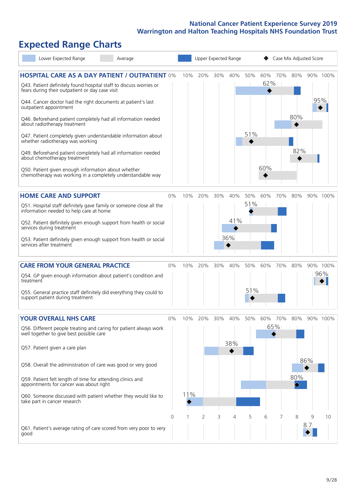# **Expected Range Charts**

| Lower Expected Range<br>Average                                                                                                                                                |                |     |                |     | Upper Expected Range |     |            |     | Case Mix Adjusted Score |                       |          |
|--------------------------------------------------------------------------------------------------------------------------------------------------------------------------------|----------------|-----|----------------|-----|----------------------|-----|------------|-----|-------------------------|-----------------------|----------|
| <b>HOSPITAL CARE AS A DAY PATIENT / OUTPATIENT 0%</b><br>Q43. Patient definitely found hospital staff to discuss worries or<br>fears during their outpatient or day case visit |                | 10% | 20%            | 30% | 40% 50%              |     | 60%<br>62% | 70% | 80%                     |                       | 90% 100% |
| Q44. Cancer doctor had the right documents at patient's last<br>outpatient appointment                                                                                         |                |     |                |     |                      |     |            |     |                         |                       | 95%      |
| Q46. Beforehand patient completely had all information needed<br>about radiotherapy treatment                                                                                  |                |     |                |     |                      |     |            |     | 80%                     |                       |          |
| Q47. Patient completely given understandable information about<br>whether radiotherapy was working                                                                             |                |     |                |     |                      | 51% |            |     |                         |                       |          |
| Q49. Beforehand patient completely had all information needed<br>about chemotherapy treatment                                                                                  |                |     |                |     |                      |     |            |     | 82%                     |                       |          |
| Q50. Patient given enough information about whether<br>chemotherapy was working in a completely understandable way                                                             |                |     |                |     |                      |     | 60%        |     |                         |                       |          |
| <b>HOME CARE AND SUPPORT</b>                                                                                                                                                   | 0%             | 10% | 20%            | 30% | 40%                  | 50% | 60%        | 70% | 80%                     |                       | 90% 100% |
| Q51. Hospital staff definitely gave family or someone close all the<br>information needed to help care at home                                                                 |                |     |                |     |                      | 51% |            |     |                         |                       |          |
| Q52. Patient definitely given enough support from health or social<br>services during treatment                                                                                |                |     |                |     | 41%                  |     |            |     |                         |                       |          |
| Q53. Patient definitely given enough support from health or social<br>services after treatment                                                                                 |                |     |                |     | 36%                  |     |            |     |                         |                       |          |
| <b>CARE FROM YOUR GENERAL PRACTICE</b>                                                                                                                                         | 0%             | 10% | 20%            | 30% | 40%                  | 50% | 60%        | 70% | 80%                     |                       | 90% 100% |
| Q54. GP given enough information about patient's condition and<br>treatment                                                                                                    |                |     |                |     |                      |     |            |     |                         |                       | 96%      |
| Q55. General practice staff definitely did everything they could to<br>support patient during treatment                                                                        |                |     |                |     |                      | 51% |            |     |                         |                       |          |
| <b>YOUR OVERALL NHS CARE</b>                                                                                                                                                   | $0\%$          | 10% | 20%            | 30% | 40%                  | 50% | 60%        | 70% | 80%                     |                       | 90% 100% |
| Q56. Different people treating and caring for patient always work<br>well together to give best possible care                                                                  |                |     |                |     |                      |     |            | 65% |                         |                       |          |
| Q57. Patient given a care plan                                                                                                                                                 |                |     |                |     | 38%                  |     |            |     |                         |                       |          |
| Q58. Overall the administration of care was good or very good                                                                                                                  |                |     |                |     |                      |     |            |     |                         | 86%                   |          |
| Q59. Patient felt length of time for attending clinics and<br>appointments for cancer was about right                                                                          |                |     |                |     |                      |     |            |     | 80%                     |                       |          |
| Q60. Someone discussed with patient whether they would like to<br>take part in cancer research                                                                                 |                | 11% |                |     |                      |     |            |     |                         |                       |          |
|                                                                                                                                                                                | $\overline{0}$ | 1   | $\overline{2}$ | 3   | 4                    | 5   | 6          | 7   | 8                       | 9<br>8.7 <sub>1</sub> | 10       |
| Q61. Patient's average rating of care scored from very poor to very<br>good                                                                                                    |                |     |                |     |                      |     |            |     |                         |                       |          |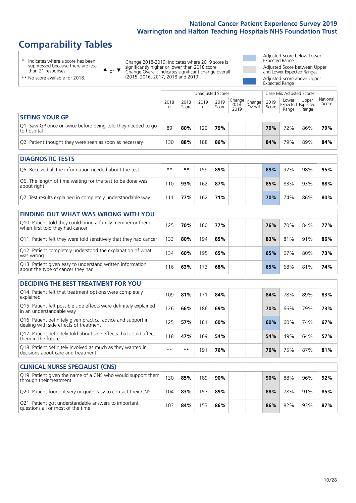Unadjusted Scores **Case Mix Adjusted Scores** 

# **Comparability Tables**

\* Indicates where a score has been suppressed because there are less than 21 responses.

or  $\blacktriangledown$ Change 2018-2019: Indicates where 2019 score is significantly higher or lower than 2018 score Change Overall: Indicates significant change overall (2015, 2016, 2017, 2018 and 2019).

Adjusted Score below Lower Expected Range Adjusted Score between Upper and Lower Expected Ranges Adjusted Score above Upper Expected Range

> National Score

| ** No score available for 2018. | (2015, 2016, 2017, 2018) |
|---------------------------------|--------------------------|
|                                 |                          |
|                                 | 2018                     |

 $\blacktriangle$ 

|                                                                                                         | 2018<br>n | 2018<br>Score | 2019<br>n | 2019<br>Score | Change<br>$2018 -$<br>2019 | Change<br>Overall | 2019<br>Score | Lower<br>Range | Upper<br>Expected Expected<br>Range | National<br>Score |
|---------------------------------------------------------------------------------------------------------|-----------|---------------|-----------|---------------|----------------------------|-------------------|---------------|----------------|-------------------------------------|-------------------|
| <b>SEEING YOUR GP</b>                                                                                   |           |               |           |               |                            |                   |               |                |                                     |                   |
| Q1. Saw GP once or twice before being told they needed to go<br>to hospital                             | 89        | 80%           | 120       | 79%           |                            |                   | 79%           | 72%            | 86%                                 | 79%               |
| Q2. Patient thought they were seen as soon as necessary                                                 | 130       | 88%           | 188       | 86%           |                            |                   | 84%           | 79%            | 89%                                 | 84%               |
| <b>DIAGNOSTIC TESTS</b>                                                                                 |           |               |           |               |                            |                   |               |                |                                     |                   |
| O5. Received all the information needed about the test                                                  | $* *$     | $***$         | 159       | 89%           |                            |                   | 89%           | 92%            | 98%                                 | 95%               |
| Q6. The length of time waiting for the test to be done was<br>about right                               | 110       | 93%           | 162       | 87%           |                            |                   | 85%           | 83%            | 93%                                 | 88%               |
| Q7. Test results explained in completely understandable way                                             | 111       | 77%           | 162       | 71%           |                            |                   | 70%           | 74%            | 86%                                 | 80%               |
| <b>FINDING OUT WHAT WAS WRONG WITH YOU</b>                                                              |           |               |           |               |                            |                   |               |                |                                     |                   |
| Q10. Patient told they could bring a family member or friend<br>when first told they had cancer         | 125       | 70%           | 180       | 77%           |                            |                   | 76%           | 70%            | 84%                                 | 77%               |
| Q11. Patient felt they were told sensitively that they had cancer                                       | 133       | 80%           | 194       | 85%           |                            |                   | 83%           | 81%            | 91%                                 | 86%               |
| Q12. Patient completely understood the explanation of what<br>was wrong                                 | 134       | 60%           | 195       | 65%           |                            |                   | 65%           | 67%            | 80%                                 | 73%               |
| Q13. Patient given easy to understand written information<br>about the type of cancer they had          | 116       | 63%           | 173       | 68%           |                            |                   | 65%           | 68%            | 81%                                 | 74%               |
| <b>DECIDING THE BEST TREATMENT FOR YOU</b>                                                              |           |               |           |               |                            |                   |               |                |                                     |                   |
| Q14. Patient felt that treatment options were completely<br>explained                                   | 109       | 81%           | 171       | 84%           |                            |                   | 84%           | 78%            | 89%                                 | 83%               |
| Q15. Patient felt possible side effects were definitely explained<br>in an understandable way           | 126       | 66%           | 186       | 69%           |                            |                   | 70%           | 66%            | 79%                                 | 73%               |
| Q16. Patient definitely given practical advice and support in<br>dealing with side effects of treatment | 125       | 57%           | 181       | 60%           |                            |                   | 60%           | 60%            | 74%                                 | 67%               |
| Q17. Patient definitely told about side effects that could affect<br>them in the future                 | 118       | 47%           | 169       | 54%           |                            |                   | 54%           | 49%            | 64%                                 | 57%               |
| Q18. Patient definitely involved as much as they wanted in<br>decisions about care and treatment        | $* *$     | $***$         | 191       | 76%           |                            |                   | 76%           | 75%            | 87%                                 | 81%               |
| <b>CLINICAL NURSE SPECIALIST (CNS)</b>                                                                  |           |               |           |               |                            |                   |               |                |                                     |                   |
| Q19. Patient given the name of a CNS who would support them<br>through their treatment                  | 130       | 85%           | 189       | 90%           |                            |                   | 90%           | 88%            | 96%                                 | 92%               |
| Q20. Patient found it very or quite easy to contact their CNS                                           | 104       | 83%           | 157       | 89%           |                            |                   | 88%           | 78%            | 91%                                 | 85%               |
| Q21. Patient got understandable answers to important<br>questions all or most of the time               | 103       | 84%           | 153       | 86%           |                            |                   | 86%           | 82%            | 93%                                 | 87%               |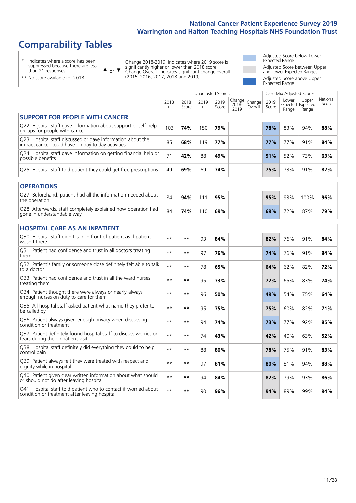# **Comparability Tables**

\* Indicates where a score has been suppressed because there are less than 21 responses.

\*\* No score available for 2018.

 $\triangle$  or  $\nabla$ 

Change 2018-2019: Indicates where 2019 score is significantly higher or lower than 2018 score Change Overall: Indicates significant change overall (2015, 2016, 2017, 2018 and 2019).

Adjusted Score below Lower Expected Range Adjusted Score between Upper and Lower Expected Ranges Adjusted Score above Upper Expected Range

|                                                                                                                   |              |               |           | <b>Unadjusted Scores</b> |                         |                   |               | Case Mix Adjusted Scores            |                |                   |
|-------------------------------------------------------------------------------------------------------------------|--------------|---------------|-----------|--------------------------|-------------------------|-------------------|---------------|-------------------------------------|----------------|-------------------|
|                                                                                                                   | 2018<br>n    | 2018<br>Score | 2019<br>n | 2019<br>Score            | Change<br>2018-<br>2019 | Change<br>Overall | 2019<br>Score | Lower<br>Expected Expected<br>Range | Upper<br>Range | National<br>Score |
| <b>SUPPORT FOR PEOPLE WITH CANCER</b>                                                                             |              |               |           |                          |                         |                   |               |                                     |                |                   |
| Q22. Hospital staff gave information about support or self-help<br>groups for people with cancer                  | 103          | 74%           | 150       | 79%                      |                         |                   | 78%           | 83%                                 | 94%            | 88%               |
| Q23. Hospital staff discussed or gave information about the<br>impact cancer could have on day to day activities  | 85           | 68%           | 119       | 77%                      |                         |                   | 77%           | 77%                                 | 91%            | 84%               |
| Q24. Hospital staff gave information on getting financial help or<br>possible benefits                            | 71           | 42%           | 88        | 49%                      |                         |                   | 51%           | 52%                                 | 73%            | 63%               |
| Q25. Hospital staff told patient they could get free prescriptions                                                | 49           | 69%           | 69        | 74%                      |                         |                   | 75%           | 73%                                 | 91%            | 82%               |
| <b>OPERATIONS</b>                                                                                                 |              |               |           |                          |                         |                   |               |                                     |                |                   |
| Q27. Beforehand, patient had all the information needed about<br>the operation                                    | 84           | 94%           | 111       | 95%                      |                         |                   | 95%           | 93%                                 | 100%           | 96%               |
| Q28. Afterwards, staff completely explained how operation had<br>gone in understandable way                       | 84           | 74%           | 110       | 69%                      |                         |                   | 69%           | 72%                                 | 87%            | 79%               |
| <b>HOSPITAL CARE AS AN INPATIENT</b>                                                                              |              |               |           |                          |                         |                   |               |                                     |                |                   |
| Q30. Hospital staff didn't talk in front of patient as if patient<br>wasn't there                                 | $\star\star$ | **            | 93        | 84%                      |                         |                   | 82%           | 76%                                 | 91%            | 84%               |
| Q31. Patient had confidence and trust in all doctors treating<br>them                                             | $\star\star$ | **            | 97        | 76%                      |                         |                   | 74%           | 76%                                 | 91%            | 84%               |
| Q32. Patient's family or someone close definitely felt able to talk<br>to a doctor                                | $**$         | **            | 78        | 65%                      |                         |                   | 64%           | 62%                                 | 82%            | 72%               |
| Q33. Patient had confidence and trust in all the ward nurses<br>treating them                                     | $**$         | **            | 95        | 73%                      |                         |                   | 72%           | 65%                                 | 83%            | 74%               |
| Q34. Patient thought there were always or nearly always<br>enough nurses on duty to care for them                 | $* *$        | **            | 96        | 50%                      |                         |                   | 49%           | 54%                                 | 75%            | 64%               |
| Q35. All hospital staff asked patient what name they prefer to<br>be called by                                    | $**$         | **            | 95        | 75%                      |                         |                   | 75%           | 60%                                 | 82%            | 71%               |
| Q36. Patient always given enough privacy when discussing<br>condition or treatment                                | $**$         | **            | 94        | 74%                      |                         |                   | 73%           | 77%                                 | 92%            | 85%               |
| Q37. Patient definitely found hospital staff to discuss worries or<br>fears during their inpatient visit          | $**$         | **            | 74        | 43%                      |                         |                   | 42%           | 40%                                 | 63%            | 52%               |
| Q38. Hospital staff definitely did everything they could to help<br>control pain                                  | $\star\star$ | $***$         | 88        | 80%                      |                         |                   | 78%           | 75%                                 | 91%            | 83%               |
| Q39. Patient always felt they were treated with respect and<br>dignity while in hospital                          | $\star\star$ | **            | 97        | 81%                      |                         |                   | 80%           | 81%                                 | 94%            | 88%               |
| Q40. Patient given clear written information about what should<br>or should not do after leaving hospital         | $**$         | **            | 94        | 84%                      |                         |                   | 82%           | 79%                                 | 93%            | 86%               |
| Q41. Hospital staff told patient who to contact if worried about<br>condition or treatment after leaving hospital | $**$         | **            | 90        | 96%                      |                         |                   | 94%           | 89%                                 | 99%            | 94%               |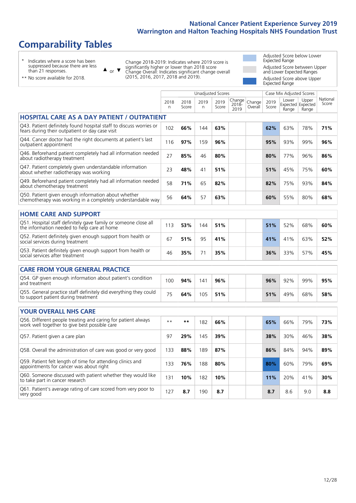# **Comparability Tables**

\* Indicates where a score has been suppressed because there are less than 21 responses.

\*\* No score available for 2018.

 $\triangle$  or  $\nabla$ 

Change 2018-2019: Indicates where 2019 score is significantly higher or lower than 2018 score Change Overall: Indicates significant change overall (2015, 2016, 2017, 2018 and 2019).

Adjusted Score below Lower Expected Range Adjusted Score between Upper and Lower Expected Ranges Adjusted Score above Upper Expected Range

|                                                                                                                       |            |               | <b>Unadjusted Scores</b> |               |                            |                   |               | Case Mix Adjusted Scores            |                |                   |
|-----------------------------------------------------------------------------------------------------------------------|------------|---------------|--------------------------|---------------|----------------------------|-------------------|---------------|-------------------------------------|----------------|-------------------|
|                                                                                                                       | 2018<br>n. | 2018<br>Score | 2019<br>n                | 2019<br>Score | Change<br>$2018 -$<br>2019 | Change<br>Overall | 2019<br>Score | Lower<br>Expected Expected<br>Range | Upper<br>Range | National<br>Score |
| <b>HOSPITAL CARE AS A DAY PATIENT / OUTPATIENT</b>                                                                    |            |               |                          |               |                            |                   |               |                                     |                |                   |
| Q43. Patient definitely found hospital staff to discuss worries or<br>fears during their outpatient or day case visit | 102        | 66%           | 144                      | 63%           |                            |                   | 62%           | 63%                                 | 78%            | 71%               |
| Q44. Cancer doctor had the right documents at patient's last<br>outpatient appointment                                | 116        | 97%           | 159                      | 96%           |                            |                   | 95%           | 93%                                 | 99%            | 96%               |
| Q46. Beforehand patient completely had all information needed<br>about radiotherapy treatment                         | 27         | 85%           | 46                       | 80%           |                            |                   | 80%           | 77%                                 | 96%            | 86%               |
| Q47. Patient completely given understandable information<br>about whether radiotherapy was working                    | 23         | 48%           | 41                       | 51%           |                            |                   | 51%           | 45%                                 | 75%            | 60%               |
| Q49. Beforehand patient completely had all information needed<br>about chemotherapy treatment                         | 58         | 71%           | 65                       | 82%           |                            |                   | 82%           | 75%                                 | 93%            | 84%               |
| Q50. Patient given enough information about whether<br>chemotherapy was working in a completely understandable way    | 56         | 64%           | 57                       | 63%           |                            |                   | 60%           | 55%                                 | 80%            | 68%               |
| <b>HOME CARE AND SUPPORT</b>                                                                                          |            |               |                          |               |                            |                   |               |                                     |                |                   |
| Q51. Hospital staff definitely gave family or someone close all<br>the information needed to help care at home        | 113        | 53%           | 144                      | 51%           |                            |                   | 51%           | 52%                                 | 68%            | 60%               |
| Q52. Patient definitely given enough support from health or<br>social services during treatment                       | 67         | 51%           | 95                       | 41%           |                            |                   | 41%           | 41%                                 | 63%            | 52%               |
| Q53. Patient definitely given enough support from health or<br>social services after treatment                        | 46         | 35%           | 71                       | 35%           |                            |                   | 36%           | 33%                                 | 57%            | 45%               |
| <b>CARE FROM YOUR GENERAL PRACTICE</b>                                                                                |            |               |                          |               |                            |                   |               |                                     |                |                   |
| Q54. GP given enough information about patient's condition<br>and treatment                                           | 100        | 94%           | 141                      | 96%           |                            |                   | 96%           | 92%                                 | 99%            | 95%               |
| Q55. General practice staff definitely did everything they could<br>to support patient during treatment               | 75         | 64%           | 105                      | 51%           |                            |                   | 51%           | 49%                                 | 68%            | 58%               |
| <b>YOUR OVERALL NHS CARE</b>                                                                                          |            |               |                          |               |                            |                   |               |                                     |                |                   |
| Q56. Different people treating and caring for patient always<br>work well together to give best possible care         | $* *$      | $***$         | 182                      | 66%           |                            |                   | 65%           | 66%                                 | 79%            | 73%               |
| Q57. Patient given a care plan                                                                                        | 97         | 29%           | 145                      | 39%           |                            |                   | 38%           | 30%                                 | 46%            | 38%               |
| Q58. Overall the administration of care was good or very good                                                         | 133        | 88%           | 189                      | 87%           |                            |                   | 86%           | 84%                                 | 94%            | 89%               |
| Q59. Patient felt length of time for attending clinics and<br>appointments for cancer was about right                 | 133        | 76%           | 188                      | 80%           |                            |                   | 80%           | 60%                                 | 79%            | 69%               |
| Q60. Someone discussed with patient whether they would like<br>to take part in cancer research                        | 131        | 10%           | 182                      | 10%           |                            |                   | 11%           | 20%                                 | 41%            | 30%               |
| Q61. Patient's average rating of care scored from very poor to<br>very good                                           | 127        | 8.7           | 190                      | 8.7           |                            |                   | 8.7           | 8.6                                 | 9.0            | 8.8               |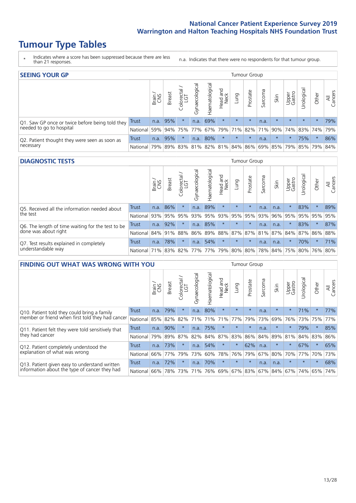# **Tumour Type Tables**

- \* Indicates where a score has been suppressed because there are less than 21 responses.
- n.a. Indicates that there were no respondents for that tumour group.

| <b>SEEING YOUR GP</b>                           |              |       |               |                   |                |                |                  |                 | Tumour Group |         |         |                 |                                                 |         |                |
|-------------------------------------------------|--------------|-------|---------------|-------------------|----------------|----------------|------------------|-----------------|--------------|---------|---------|-----------------|-------------------------------------------------|---------|----------------|
|                                                 |              | Brain | <b>Breast</b> | Colorectal<br>LGT | Gynaecological | Haematological | Head and<br>Neck | <b>Lung</b>     | Prostate     | Sarcoma | Skin    | Upper<br>Gastro | Urological                                      | Other   | All<br>Cancers |
| Q1. Saw GP once or twice before being told they | <b>Trust</b> |       | $n.a.$ 95%    |                   | n.a.           | 69%            | $\star$          | $\star$         | $\star$      | n.a.    | $\star$ | $\star$         | $\star$                                         | $\star$ | 79%            |
| needed to go to hospital                        | National     | 59%   |               | 94% 75% 77%       |                |                |                  | 67% 79% 71% 82% |              |         |         |                 | 71% 90% 74% 83% 74%                             |         | 79%            |
| Q2. Patient thought they were seen as soon as   | Trust        | n.a.  | 95%           |                   | n.a.           | 80%            | $\star$          | $\star$         | $\star$      | n.a.    | $\star$ | $\star$         | 75%                                             | $\star$ | 86%            |
| necessary                                       | National     | 79%   |               |                   |                |                |                  |                 |              |         |         |                 | 89% 83% 81% 82% 81% 84% 86% 69% 85% 79% 85% 79% |         | 84%            |

#### **DIAGNOSTIC TESTS** Tumour Group

|                                                   |              | Brain | <b>Breast</b> | olorectal.<br>LGT<br>$\cup$ | $\overline{\sigma}$<br>Gynaecologic | Haematologica | Head and<br>Neck | Lung        | Prostate | Sarcoma | Skin | Upper<br>Gastro | Irological                                  | Other   | All<br>Cancers |
|---------------------------------------------------|--------------|-------|---------------|-----------------------------|-------------------------------------|---------------|------------------|-------------|----------|---------|------|-----------------|---------------------------------------------|---------|----------------|
| Q5. Received all the information needed about     | Trust        | n.a.  | 86%           |                             | n.a.                                | 89%           | $\star$          | $\star$     | $\star$  | n.a.    | n.a. |                 | 83%                                         | $\star$ | 89%            |
| the test                                          | National     | 93%   |               | 95% 95%                     |                                     | 93% 95%       |                  | 93% 95% 95% |          | 93%     | 96%  |                 | 95% 95% 95%                                 |         | 95%            |
| Q6. The length of time waiting for the test to be | Trust        | n.a.  | 92%           |                             | n.a.                                | 85%           | $\star$          | $\star$     | $\star$  | n.a.    | n.a. |                 | 83%                                         | $\star$ | 87%            |
| done was about right                              | National     |       | 84% 91%       | 88%                         |                                     |               |                  |             |          |         |      |                 | 86% 89% 88% 87% 87% 81% 87% 84% 87% 86% 88% |         |                |
| Q7. Test results explained in completely          | Trust        | n.a.  | 78%           |                             | n.a.                                | 54%           | $\star$          | $\star$     | $\star$  | n.a.    | n.a. |                 | 70%                                         | $\star$ | 71%            |
| understandable way                                | National 71% |       |               | 83% 82% 77% 77% 79% 80% 80% |                                     |               |                  |             |          |         |      |                 | 78% 84% 75% 80% 76% 80%                     |         |                |

| <b>FINDING OUT WHAT WAS WRONG WITH YOU</b>        |              |       |               |                        |                |               |                  |         | Tumour Group |         |         |                 |            |          |                |
|---------------------------------------------------|--------------|-------|---------------|------------------------|----------------|---------------|------------------|---------|--------------|---------|---------|-----------------|------------|----------|----------------|
|                                                   |              | Brain | <b>Breast</b> | olorectal.<br>LGT<br>Ū | Gynaecological | Haematologica | Head and<br>Neck | Lung    | Prostate     | Sarcoma | Skin    | Upper<br>Gastro | Urological | Other    | All<br>Cancers |
| Q10. Patient told they could bring a family       | <b>Trust</b> | n.a.  | 79%           | $\star$                | n.a.           | 80%           | $\star$          | $\star$ | $\star$      | n.a.    | $\star$ | $\star$         | 71%        | $^\star$ | 77%            |
| member or friend when first told they had cancer  | National     | 85%   | 82%           | 82%                    | 71%            | 71%           | 71%              | 77%     | 79%          | 73%     | 69%     | 76%             | 73%        | 75%      | 77%            |
| Q11. Patient felt they were told sensitively that | Trust        | n.a.  | 90%           |                        | n.a.           | 75%           | $\star$          | $\star$ | $\star$      | n.a.    | $\star$ | $\star$         | 79%        | $^\star$ | 85%            |
| they had cancer                                   | National     | 79%   | 89% 87%       |                        | 82%            | 84% 87% 83%   |                  |         | 86%          | 84%     | 89%     | 81%             | 84% 83%    |          | 86%            |
| Q12. Patient completely understood the            | Trust        | n.a.  | 73%           |                        | n.a.           | 54%           | $\star$          | $\star$ | 62%          | n.a.    | $\star$ | $\star$         | 67%        | $\star$  | 65%            |
| explanation of what was wrong                     | National     | 66%   | 77%           | 79%                    | 73%            | 60%           | 78%              | 76%     | 79%          | 67%     | 80%     | 70%             | 77%        | 70%      | 73%            |
| Q13. Patient given easy to understand written     | Trust        | n.a.  | 72%           | $\star$                | n.a.           | 70%           | $\star$          | $\star$ | $\star$      | n.a.    | n.a.    | $\star$         | $\star$    | $^\star$ | 68%            |
| information about the type of cancer they had     | National     | 66%   | 78%           | 73%                    | 71%            | 76%           | 69%              |         | 67% 83%      | 67%     | 84%     | 67%             | 74%        | 65%      | 74%            |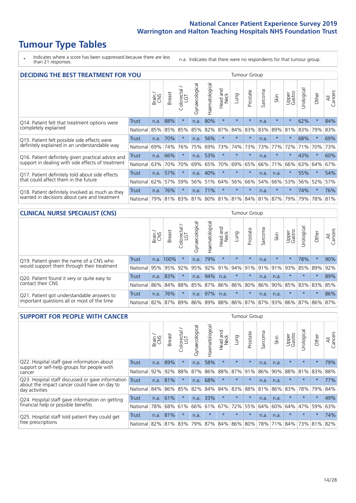# **Tumour Type Tables**

\* Indicates where a score has been suppressed because there are less than 21 responses.

n.a. Indicates that there were no respondents for that tumour group.

| <b>DECIDING THE BEST TREATMENT FOR YOU</b>         |              |       |               |                       |                |                   |                        |         | <b>Tumour Group</b> |                             |         |                 |            |         |                |
|----------------------------------------------------|--------------|-------|---------------|-----------------------|----------------|-------------------|------------------------|---------|---------------------|-----------------------------|---------|-----------------|------------|---------|----------------|
|                                                    |              | Brain | <b>Breast</b> | olorectal<br>LGT<br>Ũ | Gynaecological | ematological<br>훈 | ad and<br>Neck<br>Head | Lung    | Prostate            | Sarcoma                     | Skin    | Upper<br>Gastro | Jrological | Other   | All<br>Cancers |
| Q14. Patient felt that treatment options were      | <b>Trust</b> | n.a.  | 88%           | $\star$               | n.a.           | 80%               | $\star$                | $\star$ | $\star$             | n.a.                        | $\star$ | $\star$         | 62%        | $\star$ | 84%            |
| completely explained                               | National     | 85%   | 85%           | 85%                   | 85%            | 82%               | 87%                    | 84%     | 83%                 | 83%                         | 89%     | 81%             | 83%        | 79%     | 83%            |
| Q15. Patient felt possible side effects were       | Trust        | n.a.  | 70%           |                       | n.a.           | 56%               | $\star$                | $\star$ | $\star$             | n.a.                        |         | $\star$         | 68%        | $\star$ | 69%            |
| definitely explained in an understandable way      | National     | 69%   | 74%           | 76%                   | 75%            | 69%               | 73%                    | 74%     | 73%                 | 73%                         | 77%     | 72%             | 71%        | 70%     | 73%            |
| Q16. Patient definitely given practical advice and | Trust        | n.a.  | 66%           |                       | n.a.           | 53%               | $\star$                | $\star$ | $\star$             | n.a.                        |         | $\star$         | 43%        | $\star$ | 60%            |
| support in dealing with side effects of treatment  | National     | 63%   | 70%           | 70%                   | 69%            | 65%               | 70%                    | 69%     | 65%                 | 66%                         | 71%     | 66%             | 63%        | 64%     | 67%            |
| Q17. Patient definitely told about side effects    | Trust        | n.a.  | 57%           |                       | n.a.           | 40%               | $\star$                | $\star$ | $\star$             | n.a.                        | n.a.    | $\star$         | 55%        | $\ast$  | 54%            |
| that could affect them in the future               | National     | 62%   | 57%           | 59%                   | 56%            | 51%               | 64%                    | 56%     | 66%                 | 54%                         | 66%     | 53%             | 56%        | 52%     | 57%            |
| Q18. Patient definitely involved as much as they   | Trust        | n.a.  | 76%           |                       | n.a.           | 71%               | $\star$                | $\star$ | $\star$             | n.a.                        | $\star$ | $\star$         | 74%        | $\star$ | 76%            |
| wanted in decisions about care and treatment       | National     | 79%   | 81%           | 83%                   |                |                   |                        |         |                     | 81% 80% 81% 81% 84% 81% 87% |         | 79%             | 79%        | 78% 81% |                |

#### **CLINICAL NURSE SPECIALIST (CNS)** Tumour Group

|                                             |              | Brain | Breast    | Colorectal<br>LGT | ᢛ<br>Gynaecologic | Haematological | Head and<br>Neck | Lung          | Prostate | Sarcoma | Skin                        | Upper<br>Gastro | Irologica       | Other   | All<br>Cancers |
|---------------------------------------------|--------------|-------|-----------|-------------------|-------------------|----------------|------------------|---------------|----------|---------|-----------------------------|-----------------|-----------------|---------|----------------|
| Q19. Patient given the name of a CNS who    | <b>Trust</b> |       | n.a. 100% |                   | n.a.              | 79%            | $\star$          | $\star$       | $\star$  | n.a.    | $\star$                     | $\star$         | 78%             | $\ast$  | 90%            |
| would support them through their treatment  | National     | 95%   | 95%       | 92%               | 95%               | 92%            | 91%              | $ 94\% 91\% $ |          | 91%     | 91%                         | 93%             | 85% 89%         |         | 92%            |
| Q20. Patient found it very or quite easy to | Trust        | n.a.  | 83%       |                   | n.a.              | 94%            | n.a.             | $\star$       | $\star$  | n.a.    | n.a.                        |                 | $\star$         | $\star$ | 89%            |
| contact their CNS                           | National     | 86%   | 84%       | 88%               | 85%               |                | 87% 86% 86% 80%  |               |          | 86%     | 90%                         | 85%             |                 | 83% 83% | 85%            |
| Q21. Patient got understandable answers to  | Trust        | n.a.  | 76%       |                   | n.a.              | 97%            | n.a.             | $\star$       | $\star$  | n.a.    | n.a.                        | $\star$         | $\star$         | $\star$ | 86%            |
| important questions all or most of the time | National     | 82%   | 87%       | 89%               |                   |                |                  |               |          |         | 86% 89% 88% 86% 87% 87% 93% |                 | 86% 87% 86% 87% |         |                |

| <b>SUPPORT FOR PEOPLE WITH CANCER</b>                                                             |              |       |               |            |                |                |                         |             | <b>Tumour Group</b> |         |      |                 |            |         |                |
|---------------------------------------------------------------------------------------------------|--------------|-------|---------------|------------|----------------|----------------|-------------------------|-------------|---------------------|---------|------|-----------------|------------|---------|----------------|
|                                                                                                   |              | Brain | <b>Breast</b> | Colorectal | Gynaecological | Haematological | ead and<br>Neck<br>Head | Lung        | Prostate            | Sarcoma | Skin | Upper<br>Gastro | Jrological | Other   | All<br>Cancers |
| Q22. Hospital staff gave information about<br>support or self-help groups for people with         | Trust        | n.a.  | 89%           | $\star$    | n.a.           | 58%            | $\star$                 | $\star$     | $\star$             | n.a.    | n.a. | $\star$         | $\star$    | $\star$ | 79%            |
| cancer                                                                                            | National     | 92%   | 92%           | 88%        | 87%            | 86%            | 88%                     | 87%         | 91%                 | 86%     | 90%  | 88%             | 81%        | 83%     | 88%            |
| Q23. Hospital staff discussed or gave information<br>about the impact cancer could have on day to | <b>Trust</b> | n.a.  | 81%           | $\star$    | n.a.           | 68%            | $\star$                 | $\star$     | $\star$             | n.a.    | n.a. | $\star$         | $\star$    | $\star$ | 77%            |
| day activities                                                                                    | National     | 84%   | 86%           | 85%        | 82%            | 84%            | 84%                     | 83%         | 88%                 | 81%     | 86%  | 83%             | 78%        | 79%     | 84%            |
| Q24. Hospital staff gave information on getting                                                   | Trust        | n.a.  | 61%           |            | n.a.           | 33%            | $\star$                 | $\star$     | $\star$             | n.a.    | n.a. | $\star$         | $\star$    | $\ast$  | 49%            |
| financial help or possible benefits                                                               | National     | 78%   | 68%           | 61%        | 66%            | 61%            | 67%                     | 72%         | 55%                 | 64%     | 60%  | 64%             | 47%        | 59%     | 63%            |
| Q25. Hospital staff told patient they could get                                                   | Trust        | n.a.  | 81%           |            | n.a.           | $\star$        | $\star$                 | $\star$     | $\star$             | n.a.    | n.a. | $\star$         | $\star$    | $\star$ | 74%            |
| free prescriptions                                                                                | National I   | 82%   | 81%           | 83%        | 79%            | 87%            |                         | 84% 86% 80% |                     | 78%     | 71%  | 84%             | 73%        | 81%     | 82%            |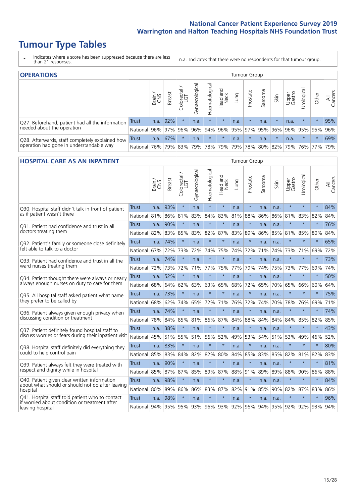# **Tumour Type Tables**

- \* Indicates where a score has been suppressed because there are less than 21 responses.
- n.a. Indicates that there were no respondents for that tumour group.

| <b>OPERATIONS</b>                                |            |              |               |                       |                    |                 |                  |             | Tumour Group |         |         |                 |                       |         |                |
|--------------------------------------------------|------------|--------------|---------------|-----------------------|--------------------|-----------------|------------------|-------------|--------------|---------|---------|-----------------|-----------------------|---------|----------------|
|                                                  |            | Brain<br>CNS | <b>Breast</b> | olorectal<br>LGT<br>Ü | ᠊ᢛ<br>Gynaecologic | Haematological  | Head and<br>Neck | <b>Dung</b> | Prostate     | Sarcoma | Skin    | Upper<br>Gastro | Urological            | Other   | All<br>Cancers |
| Q27. Beforehand, patient had all the information | Trust      | n.a.         | 92%           |                       | n.a.               | $\star$         | $\star$          | n.a.        | $\star$      | n.a.    |         | n.a.            | $\star$               | $\star$ | 95%            |
| needed about the operation                       | National   |              | 96% 97%       | 96%                   | 96%                |                 | 94% 96% 95% 97%  |             |              |         | 95% 96% |                 | 96% 95% 95%           |         | 96%            |
| Q28. Afterwards, staff completely explained how  | Trust      | n.a.         | 67%           |                       | n.a.               | $\star$         | $\star$          | n.a.        | $\star$      | n.a.    |         | n.a.            | $\star$               | $\star$ | 69%            |
| operation had gone in understandable way         | National I | 76%          |               | 79% 83%               | 79%                | 78%   79%   79% |                  |             | 78%          | 80%     |         |                 | 82%   79%   76%   77% |         | 79%            |

### **HOSPITAL CARE AS AN INPATIENT** Tumour Group

|                                                                                                  |              | Brain | Breast   | Colorectal /<br>LGT | Gynaecological | Haematological | Head and<br>Neck | Lung | Prostate | Sarcoma | Skin | Upper<br>Gastro | Urological  | Other   | All<br>Cancers |
|--------------------------------------------------------------------------------------------------|--------------|-------|----------|---------------------|----------------|----------------|------------------|------|----------|---------|------|-----------------|-------------|---------|----------------|
| Q30. Hospital staff didn't talk in front of patient                                              | Trust        | n.a.  | 93%      | $\star$             | n.a.           | $\star$        | $\star$          | n.a. | $\star$  | n.a.    | n.a. | $\star$         | $\star$     | $\star$ | 84%            |
| as if patient wasn't there                                                                       | National     | 81%   | 86%      | 81%                 | 83%            | 84%            | 83%              | 81%  | 88%      | 86%     | 86%  | 81%             | 83%         | 82%     | 84%            |
| 031. Patient had confidence and trust in all                                                     | Trust        | n.a.  | 90%      | $\star$             | n.a.           |                | $\star$          | n.a. | $\star$  | n.a.    | n.a. |                 | $\star$     | $\star$ | 76%            |
| doctors treating them                                                                            | National     | 82%   | 83%      | 85%                 | 83%            | 82%            | 87%              | 83%  | 89%      | 86%     |      | 85% 81%         | 85%         | 80%     | 84%            |
| Q32. Patient's family or someone close definitely                                                | <b>Trust</b> | n.a.  | 74%      | $\star$             | n.a.           | $\star$        | $\star$          | n.a. | $\star$  | n.a.    | n.a. |                 | $\star$     | $\star$ | 65%            |
| felt able to talk to a doctor                                                                    | National     | 67%   | 72%      | 73%                 | 72%            | 74%            | 75%              | 74%  | 72%      | 71%     | 74%  | 73%             | 71%         | 69%     | 72%            |
| O33. Patient had confidence and trust in all the                                                 | <b>Trust</b> |       | n.a. 74% | $\star$             | n.a.           | $\star$        | $\star$          | n.a. | $\star$  | n.a.    | n.a. | $\star$         | $\star$     | $\star$ | 73%            |
| ward nurses treating them                                                                        | National     | 72%   | 73%      | 72%                 | 71%            | 77%            | 75%              | 77%  | 79%      | 74%     | 75%  | 73%             | 77%         | 69%     | 74%            |
| Q34. Patient thought there were always or nearly                                                 | <b>Trust</b> | n.a.  | 52%      | $\star$             | n.a.           | $\star$        | $\star$          | n.a. | $\star$  | n.a.    | n.a. | $\star$         | $\star$     | $\star$ | 50%            |
| always enough nurses on duty to care for them                                                    | National     | 68%   | 64%      | 62%                 | 63%            | 63%            | 65%              | 68%  | 72%      | 65%     | 70%  | 65%             | 66%         | 60%     | 64%            |
| Q35. All hospital staff asked patient what name                                                  | Trust        | n.a.  | 73%      | $\star$             | n.a.           | $\star$        | $\star$          | n.a. | $\star$  | n.a.    | n.a. |                 | $\star$     | $\star$ | 75%            |
| they prefer to be called by                                                                      | National     | 68%   | 62%      | 74%                 | 65%            | 72%            | 71%              | 76%  | 72%      | 74%     | 70%  | 78%             | 76%         | 69%     | 71%            |
| Q36. Patient always given enough privacy when                                                    | <b>Trust</b> | n.a.  | 74%      | $\star$             | n.a.           | $\star$        | $\star$          | n.a. | $\star$  | n.a.    | n.a. | $\star$         | $\star$     | $\star$ | 74%            |
| discussing condition or treatment                                                                | National     | 78%   | 84%      | 85%                 | 81%            | 86%            | 87%              | 84%  | 88%      | 84%     | 84%  | 84%             | 85%         | 82%     | 85%            |
| Q37. Patient definitely found hospital staff to                                                  | <b>Trust</b> | n.a.  | 38%      | $\star$             | n.a.           | $\star$        | $\star$          | n.a. | $\star$  | n.a.    | n.a. | $\star$         | $\star$     | $\star$ | 43%            |
| discuss worries or fears during their inpatient visit                                            | National     | 45%   | 51%      | 55%                 | 51%            | 56%            | 52%              | 49%  | 53%      | 54%     | 51%  | 53%             | 49%         | 46%     | 52%            |
| Q38. Hospital staff definitely did everything they                                               | Trust        |       | n.a. 83% | $\star$             | n.a.           | $\star$        | $\star$          | n.a. | $\star$  | n.a.    | n.a. |                 | $\star$     | $\star$ | 80%            |
| could to help control pain                                                                       | National     | 85%   | 83%      | 84%                 | 82%            | 82%            | 80%              | 84%  | 85%      | 83%     | 85%  | 82%             | 81%         | 82%     | 83%            |
| Q39. Patient always felt they were treated with                                                  | <b>Trust</b> | n.a.  | 90%      | $\star$             | n.a.           | $\star$        | $\star$          | n.a. | $\star$  | n.a.    | n.a. | $\star$         | $\star$     | $\star$ | 81%            |
| respect and dignity while in hospital                                                            | National     | 85%   | 87%      | 87%                 | 85%            | 89%            | 87%              | 88%  | 91%      | 89%     | 89%  | 88%             | 90%         | 86%     | 88%            |
| Q40. Patient given clear written information<br>about what should or should not do after leaving | <b>Trust</b> | n.a.  | 98%      | $\star$             | n.a.           | $\star$        | $\star$          | n.a. | $\star$  | n.a.    | n.a. |                 | $\star$     | $\star$ | 84%            |
| hospital                                                                                         | National     | 80%   | 89%      | 86%                 | 86%            | 83%            | 87%              | 82%  | 91%      | 85%     | 90%  | 82%             | 87%         | 83%     | 86%            |
| Q41. Hospital staff told patient who to contact<br>if worried about condition or treatment after | <b>Trust</b> | n.a.  | 98%      | $\star$             | n.a.           | $\star$        | $\star$          | n.a. | $\star$  | n.a.    | n.a. | $\star$         | $\star$     | $\star$ | 96%            |
| leaving hospital                                                                                 | National     |       | 94% 95%  | 95%                 | 93%            | 96% 93% 92%    |                  |      | 96%      | 94%     |      |                 | 95% 92% 92% | 93%     | 94%            |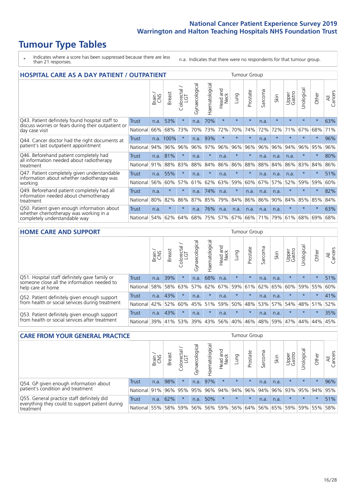# **Tumour Type Tables**

- \* Indicates where a score has been suppressed because there are less than 21 responses.
- n.a. Indicates that there were no respondents for that tumour group.

| <b>HOSPITAL CARE AS A DAY PATIENT / OUTPATIENT</b>                                   |              |       |               |                          |                |                |                         |          | <b>Tumour Group</b> |         |         |                 |            |         |                |
|--------------------------------------------------------------------------------------|--------------|-------|---------------|--------------------------|----------------|----------------|-------------------------|----------|---------------------|---------|---------|-----------------|------------|---------|----------------|
|                                                                                      |              | Brain | <b>Breast</b> | ╮<br>Colorectal /<br>LGT | Gynaecological | Haematological | ead and<br>Neck<br>Head | Lung     | Prostate            | Sarcoma | Skin    | Upper<br>Gastro | Urological | Other   | All<br>Cancers |
| Q43. Patient definitely found hospital staff to                                      | <b>Trust</b> | n.a.  | 53%           | $\star$                  | n.a.           | 70%            | $\star$                 | $\star$  | $\star$             | n.a.    | $\star$ | $\star$         | $\star$    | $\star$ | 63%            |
| discuss worries or fears during their outpatient or<br>day case visit                | National     | 66%   | 68%           | 73%                      | 70%            | 73%            | 72%                     | 70%      | 74%                 | 72%     | 72%     | 71%             | 67%        | 68%     | 71%            |
| Q44. Cancer doctor had the right documents at                                        | Trust        |       | n.a. 100%     | $\star$                  | n.a.           | 93%            | $\star$                 | $\star$  | $\star$             | n.a.    |         |                 | $\star$    | $\star$ | 96%            |
| patient's last outpatient appointment                                                | National     | 94%   | 96%           | 96%                      | 96%            | 97%            | 96%                     | 96%      | 96%                 | 96%     | 96%     | 94%             | 96%        | 95%     | 96%            |
| Q46. Beforehand patient completely had                                               | <b>Trust</b> | n.a.  | 81%           | $\star$                  | n.a.           | $\star$        | n.a.                    | $\star$  | $\star$             | n.a.    | n.a.    | n.a.            | $\star$    | $\ast$  | 80%            |
| all information needed about radiotherapy<br>treatment                               | National     | 91%   | 88%           | 83%                      | 88%            | 84%            | 86%                     | 86%      | 88%                 | 88%     | 84%     | 86%             | 83%        | 84%     | 86%            |
| Q47. Patient completely given understandable                                         | Trust        | n.a.  | 55%           | $\star$                  | n.a.           | $\ast$         | n.a.                    | $\star$  | $\star$             | n.a.    | n.a.    | n.a.            | $\star$    | $\ast$  | 51%            |
| information about whether radiotherapy was<br>working                                | National     | 56%   | 60%           | 57%                      | 61%            | 62%            | 63%                     | 59%      | 60%                 | 67%     | 57%     | 52%             | 59%        | 59%     | 60%            |
| Q49. Beforehand patient completely had all                                           | <b>Trust</b> | n.a.  | $\star$       | $\star$                  | n.a.           | 74%            | n.a.                    | $^\star$ | n.a.                | n.a.    | n.a.    |                 | $\star$    | $\ast$  | 82%            |
| information needed about chemotherapy<br>treatment                                   | National     | 80%   | 82%           | 86%                      | 87%            | 85%            | 79%                     | 84%      | 86%                 | 86%     | 90%     | 84%             | 85%        | 85%     | 84%            |
| Q50. Patient given enough information about<br>whether chemotherapy was working in a | Trust        | n.a.  | $\star$       | $\star$                  | n.a.           | 76%            | n.a.                    | n.a.     | n.a.                | n.a.    | n.a.    | $\star$         | $\star$    | $\star$ | 63%            |
| completely understandable way                                                        | National     | 54%   | 62%           | 64%                      | 68%            | 75%            | 57%                     | 67%      | 66%                 | 71%     | 79%     | 61%             | 68%        | 69%     | 68%            |

### **HOME CARE AND SUPPORT** Tumour Group

|                                                                                                                   |              | Brain | Breast | Colorectal<br>LGT | ᢛ<br>Gynaecologic | Haematological | Head and<br>Neck | <b>Dung</b> | Prostate | Sarcoma | Skin    | Upper<br>Gastro | rologica | Other   | All<br>Cancers |
|-------------------------------------------------------------------------------------------------------------------|--------------|-------|--------|-------------------|-------------------|----------------|------------------|-------------|----------|---------|---------|-----------------|----------|---------|----------------|
| Q51. Hospital staff definitely gave family or<br>someone close all the information needed to<br>help care at home | <b>Trust</b> | n.a.  | 39%    |                   | n.a.              | 68%            | n.a.             | $\star$     | $\star$  | n.a.    | n.a.    | $\star$         | $\star$  | $\star$ | 51%            |
|                                                                                                                   | National     | 58%   | 58%    | 63%               | 57%               | 62%            |                  | 67% 59% 61% |          |         | 62% 65% | 60%             | 59% 55%  |         | 60%            |
| Q52. Patient definitely given enough support<br>from health or social services during treatment                   | Trust        | n.a.  | 43%    |                   | n.a.              | $\star$        | n.a.             | $\star$     | $\star$  | n.a.    | n.a.    | $\star$         | $\star$  | $\star$ | 41%            |
|                                                                                                                   | National     | 42%   | 52%    | 60%               |                   | 45% 51%        | 59%              | 50%         | 48%      |         | 53% 57% | 54%             | 48% 51%  |         | 52%            |
| Q53. Patient definitely given enough support<br>from health or social services after treatment                    | Trust        | n.a.  | 43%    |                   | n.a.              | $\star$        | n.a.             | $\star$     | $\star$  | n.a.    | n.a.    | $\star$         | $\star$  | $\star$ | 35%            |
|                                                                                                                   | National     | 39%   |        | 41% 53%           | 39%               | $ 43\% $       | 56%              | 40%         | 46%      | 48%     | 59%     | 47%             | 44%      | 44%     | 45%            |

| <b>CARE FROM YOUR GENERAL PRACTICE</b>                       |              |        |               |                   |                |                |                  | Tumour Group |          |         |         |                 |           |         |                |
|--------------------------------------------------------------|--------------|--------|---------------|-------------------|----------------|----------------|------------------|--------------|----------|---------|---------|-----------------|-----------|---------|----------------|
|                                                              |              | Brain, | <b>Breast</b> | Colorectal<br>LGT | Gynaecological | Haematological | Head and<br>Neck | Lung         | Prostate | Sarcoma | Skin    | Upper<br>Gastro | Urologica | Other   | All<br>Cancers |
| Q54. GP given enough information about                       | Trust        | n.a.   | 98%           |                   | n.a.           | 97%            | $\star$          | $\star$      | $\star$  | n.a.    | n.a.    | $\star$         | $\star$   | $\star$ | 96%            |
| patient's condition and treatment                            | National 91% |        |               | 96% 95%           | 95%            |                | 96% 94% 94% 96%  |              |          |         | 94% 96% | 93% 95% 94%     |           |         | 95%            |
| Q55. General practice staff definitely did                   | Trust        | n.a.   | 62%           | $\star$           | n.a.           | 50%            | $\star$          | $\star$      | $\star$  | n.a.    | n.a.    | $\star$         | $\star$   | $\star$ | 51%            |
| everything they could to support patient during<br>treatment | National 55% |        |               | 58% 59%           | 56%            |                | 56% 59%          |              | 56% 64%  |         | 56% 65% | 59%             |           | 59% 55% | 58%            |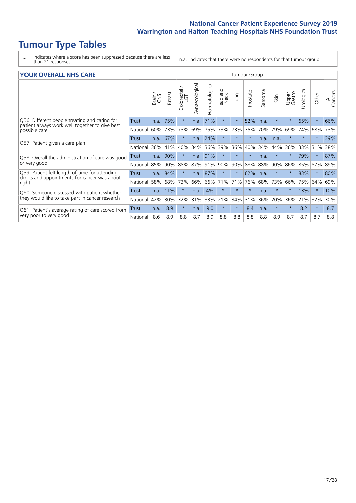# **Tumour Type Tables**

- \* Indicates where a score has been suppressed because there are less than 21 responses.
- n.a. Indicates that there were no respondents for that tumour group.

| <b>YOUR OVERALL NHS CARE</b> |  |
|------------------------------|--|
|                              |  |

| <b>YOUR OVERALL NHS CARE</b>                                    |              |              |               |                   |                |                |                         |          | <b>Tumour Group</b> |                      |         |                 |               |         |                |
|-----------------------------------------------------------------|--------------|--------------|---------------|-------------------|----------------|----------------|-------------------------|----------|---------------------|----------------------|---------|-----------------|---------------|---------|----------------|
|                                                                 |              | Brain<br>CXS | <b>Breast</b> | Colorectal<br>LGT | Gynaecological | Haematological | ead and<br>Neck<br>Head | Lung     | Prostate            | arcoma<br>$\sqrt{ }$ | Skin    | Upper<br>Gastro | ල<br>Urologia | Other   | All<br>Cancers |
| Q56. Different people treating and caring for                   | Trust        | n.a.         | 75%           | $\star$           | n.a.           | 71%            | $\star$                 | $\star$  | 52%                 | n.a.                 | $\star$ | $\star$         | 65%           | $\star$ | 66%            |
| patient always work well together to give best<br>possible care | National     | 60%          | 73%           | 73%               | 69%            | 75%            | 73%                     | 73%      | 75%                 | 70%                  | 79%     | 69%             | 74%           | 68%     | 73%            |
|                                                                 | Trust        | n.a.         | 67%           | $\star$           | n.a.           | 24%            | $\ast$                  | $^\star$ | $\star$             | n.a.                 | n.a.    | $\star$         |               | $\ast$  | 39%            |
| Q57. Patient given a care plan                                  | National     | 36%          | 41%           | 40%               | 34%            | 36%            | 39%                     | 36%      | 40%                 | 34%                  | 44%     | 36%             | 33%           | 31%     | 38%            |
| Q58. Overall the administration of care was good                | Trust        | n.a.         | 90%           | $\star$           | n.a.           | 91%            | $\star$                 | $\star$  | $\star$             | n.a.                 | $\star$ | $\star$         | 79%           | $\ast$  | 87%            |
| or very good                                                    | National     | 85%          | 90%           | 88%               | 87%            | 91%            | 90%                     | 90%      | 88%                 | 88%                  | 90%     | 86%             | 85%           | 87%     | 89%            |
| Q59. Patient felt length of time for attending                  | <b>Trust</b> |              | n.a. 84%      | $\star$           | n.a.           | 87%            | $\ast$                  | $\star$  | 62%                 | n.a.                 | $\star$ |                 | 83%           | $\ast$  | 80%            |
| clinics and appointments for cancer was about<br>right          | National     | 58%          | 68%           | 73%               | 66%            | 66%            | 71%                     | 71%      | 76%                 | 68%                  | 73%     | 66%             | 75%           | 64%     | 69%            |
| Q60. Someone discussed with patient whether                     | Trust        | n.a.         | 11%           | $\star$           | n.a.           | 4%             | $\star$                 | $\star$  | $\star$             | n.a.                 | $\star$ | $\star$         | 13%           | $\ast$  | 10%            |
| they would like to take part in cancer research                 | National     | 42%          | 30%           | 32%               | 31%            | 33%            | 21%                     | 34%      | 31%                 | 36%                  | 20%     | 36%             | 21%           | 32%     | 30%            |
| Q61. Patient's average rating of care scored from               | <b>Trust</b> | n.a.         | 8.9           | $\star$           | n.a.           | 9.0            | $\star$                 | $^\star$ | 8.4                 | n.a.                 | $\star$ | $\star$         | 8.2           | $\ast$  | 8.7            |
| very poor to very good                                          | National     | 8.6          | 8.9           | 8.8               | 8.7            | 8.9            | 8.8                     | 8.8      | 8.8                 | 8.8                  | 8.9     | 8.7             | 8.7           | 8.7     | 8.8            |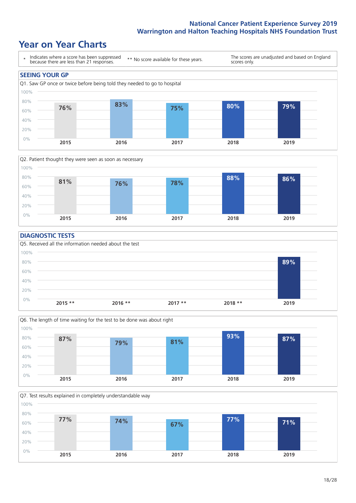# **Year on Year Charts**



![](_page_17_Figure_3.jpeg)

#### **DIAGNOSTIC TESTS**

![](_page_17_Figure_5.jpeg)

![](_page_17_Figure_6.jpeg)

![](_page_17_Figure_7.jpeg)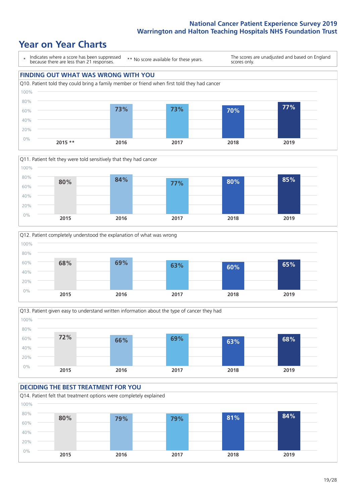# **Year on Year Charts**

![](_page_18_Figure_2.jpeg)

![](_page_18_Figure_3.jpeg)

![](_page_18_Figure_4.jpeg)

![](_page_18_Figure_5.jpeg)

#### **DECIDING THE BEST TREATMENT FOR YOU** Q14. Patient felt that treatment options were completely explained 0% 20% 40% 60% 80% 100% **2015 2016 2017 2018 2019 80% 79% 79% 81% 84%**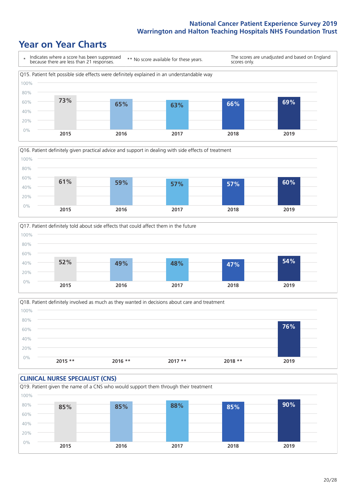# **Year on Year Charts**

![](_page_19_Figure_2.jpeg)

![](_page_19_Figure_3.jpeg)

![](_page_19_Figure_4.jpeg)

Q18. Patient definitely involved as much as they wanted in decisions about care and treatment  $0%$ 20% 40% 60% 80% 100% **2015 \*\* 2016 \*\* 2017 \*\* 2018 \*\* 2019 76%**

![](_page_19_Figure_6.jpeg)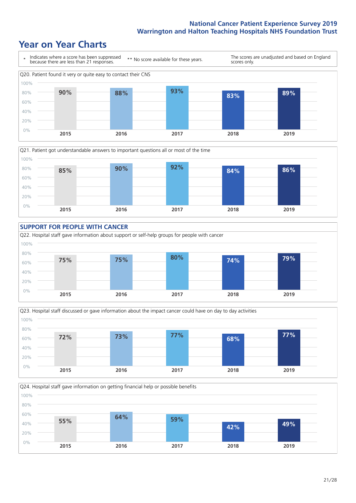# **Year on Year Charts**

![](_page_20_Figure_2.jpeg)

![](_page_20_Figure_3.jpeg)

![](_page_20_Figure_4.jpeg)

![](_page_20_Figure_5.jpeg)

![](_page_20_Figure_6.jpeg)

![](_page_20_Figure_7.jpeg)

![](_page_20_Figure_8.jpeg)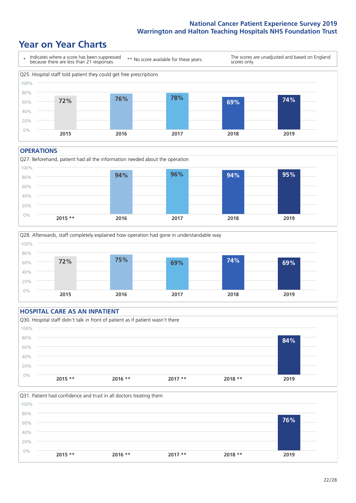# **Year on Year Charts**

![](_page_21_Figure_2.jpeg)

#### **OPERATIONS**

![](_page_21_Figure_4.jpeg)

![](_page_21_Figure_5.jpeg)

### **HOSPITAL CARE AS AN INPATIENT** Q30. Hospital staff didn't talk in front of patient as if patient wasn't there 0% 20% 40% 60% 80% 100% **2015 \*\* 2016 \*\* 2017 \*\* 2018 \*\* 2019 84%**

![](_page_21_Figure_7.jpeg)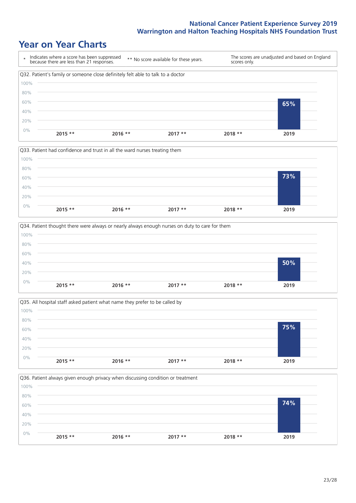# **Year on Year Charts**

![](_page_22_Figure_2.jpeg)

![](_page_22_Figure_3.jpeg)

![](_page_22_Figure_4.jpeg)

![](_page_22_Figure_5.jpeg)

![](_page_22_Figure_6.jpeg)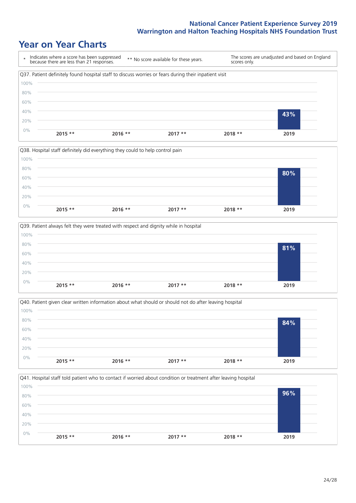# **Year on Year Charts**

|       | Indicates where a score has been suppressed<br>because there are less than 21 responses.              | ** No score available for these years. |          | scores only. | The scores are unadjusted and based on England |
|-------|-------------------------------------------------------------------------------------------------------|----------------------------------------|----------|--------------|------------------------------------------------|
|       | Q37. Patient definitely found hospital staff to discuss worries or fears during their inpatient visit |                                        |          |              |                                                |
| 100%  |                                                                                                       |                                        |          |              |                                                |
| 80%   |                                                                                                       |                                        |          |              |                                                |
| 60%   |                                                                                                       |                                        |          |              |                                                |
| 40%   |                                                                                                       |                                        |          |              | 43%                                            |
| 20%   |                                                                                                       |                                        |          |              |                                                |
| $0\%$ | $2015$ **                                                                                             | $2016$ **                              | $2017**$ | $2018**$     | 2019                                           |

![](_page_23_Figure_3.jpeg)

![](_page_23_Figure_4.jpeg)

![](_page_23_Figure_5.jpeg)

![](_page_23_Figure_6.jpeg)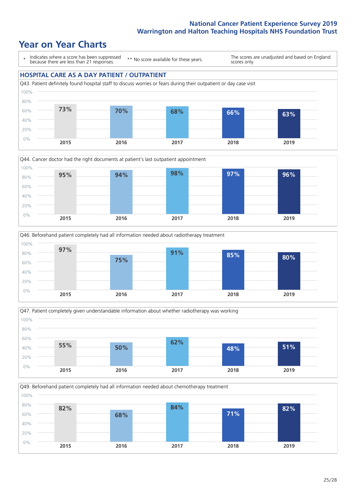# **Year on Year Charts**

\* Indicates where a score has been suppressed because there are less than 21 responses.

\*\* No score available for these years.

The scores are unadjusted and based on England scores only.

![](_page_24_Figure_5.jpeg)

![](_page_24_Figure_6.jpeg)

![](_page_24_Figure_7.jpeg)

![](_page_24_Figure_8.jpeg)

Q49. Beforehand patient completely had all information needed about chemotherapy treatment

![](_page_24_Figure_10.jpeg)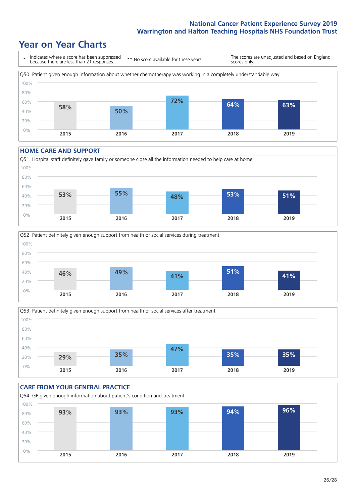# **Year on Year Charts**

![](_page_25_Figure_2.jpeg)

#### **HOME CARE AND SUPPORT**

![](_page_25_Figure_4.jpeg)

![](_page_25_Figure_5.jpeg)

![](_page_25_Figure_6.jpeg)

### **CARE FROM YOUR GENERAL PRACTICE** Q54. GP given enough information about patient's condition and treatment 0% 20% 40% 60% 80% 100% **2015 2016 2017 2018 2019 93% 93% 93% 94% 96%**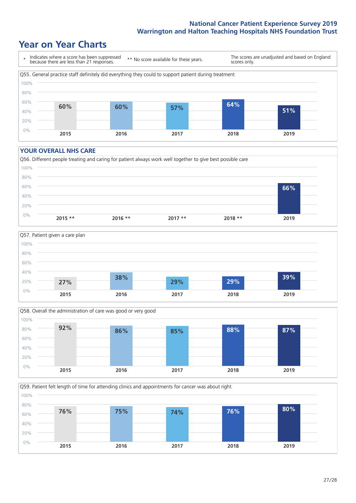# **Year on Year Charts**

![](_page_26_Figure_2.jpeg)

#### **YOUR OVERALL NHS CARE**

![](_page_26_Figure_4.jpeg)

![](_page_26_Figure_5.jpeg)

![](_page_26_Figure_6.jpeg)

Q59. Patient felt length of time for attending clinics and appointments for cancer was about right 0% 20% 40% 60% 80% 100% **2015 2016 2017 2018 2019 76% 75% 74% 76% 80%**